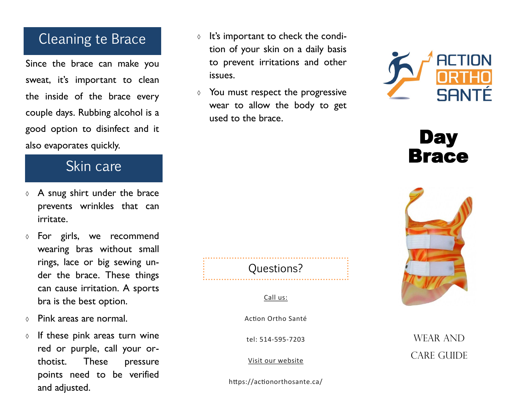## Cleaning te Brace

Since the brace can make you sweat, it's important to clean the inside of the brace every couple days. Rubbing alcohol is a good option to disinfect and it also evaporates quickly.

## Skin care

- $\lozenge$  A snug shirt under the brace prevents wrinkles that can irritate.
- For girls, we recommend wearing bras without small rings, lace or big sewing under the brace. These things can cause irritation. A sports bra is the best option.
- Pink areas are normal.
- $\circ$  If these pink areas turn wine red or purple, call your orthotist. These pressure points need to be verified and adjusted.
- $\circ$  It's important to check the condition of your skin on a daily basis to prevent irritations and other issues.
- $\Diamond$  You must respect the progressive wear to allow the body to get used to the brace.



**Day** Brace



## WEAR AND CARE GUIDE

## Questions?

Call us:

Action Ortho Santé

tel: 514 -595 -7203

Visit our website

https://actionorthosante.ca/